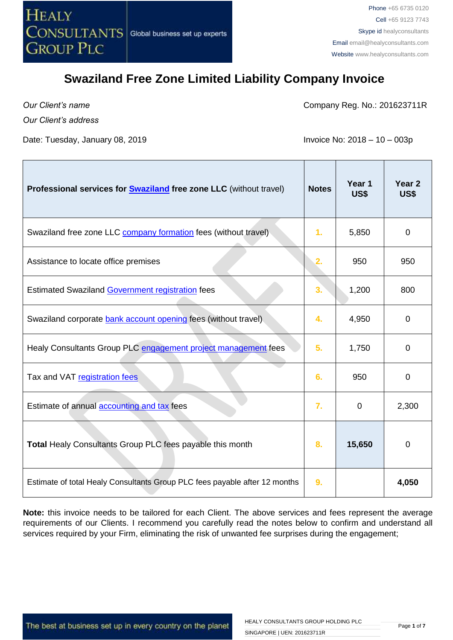

*Our Client's name*

*Our Client's address* 

Date: Tuesday, January 08, 2019 **Invoice No: 2018 – 10 – 003p** 

Company Reg. No.: 201623711R

| Professional services for <b>Swaziland</b> free zone LLC (without travel)  | <b>Notes</b>   | Year 1<br>US\$ | Year <sub>2</sub><br>US\$ |
|----------------------------------------------------------------------------|----------------|----------------|---------------------------|
| Swaziland free zone LLC company formation fees (without travel)            | $\mathbf{1}$ . | 5,850          | 0                         |
| Assistance to locate office premises                                       | 2.             | 950            | 950                       |
| <b>Estimated Swaziland Government registration fees</b>                    | 3.             | 1,200          | 800                       |
| Swaziland corporate bank account opening fees (without travel)             | 4.             | 4,950          | $\Omega$                  |
| Healy Consultants Group PLC engagement project management fees             | 5.             | 1,750          | 0                         |
| Tax and VAT registration fees                                              | 6.             | 950            | 0                         |
| Estimate of annual accounting and tax fees                                 | 7.             | $\mathbf 0$    | 2,300                     |
| Total Healy Consultants Group PLC fees payable this month                  | 8.             | 15,650         | 0                         |
| Estimate of total Healy Consultants Group PLC fees payable after 12 months | 9.             |                | 4,050                     |

**Note:** this invoice needs to be tailored for each Client. The above services and fees represent the average requirements of our Clients. I recommend you carefully read the notes below to confirm and understand all services required by your Firm, eliminating the risk of unwanted fee surprises during the engagement;

The best at business set up in every country on the planet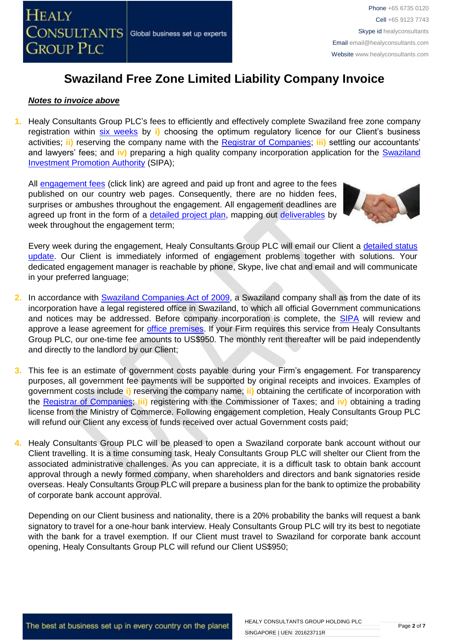

#### *Notes to invoice above*

**1.** Healy Consultants Group PLC's fees to efficiently and effectively complete Swaziland free zone company registration within [six weeks](http://www.healyconsultants.com/swaziland-company-registration/fees-timelines/) by **i)** choosing the optimum regulatory licence for our Client's business activities; **ii)** reserving the company name with the [Registrar of Companies;](http://www.gov.sz/index.php/departments-sp-1596706154?id=522) **iii)** settling our accountants' and lawyers' fees; and **iv)** preparing a high quality company incorporation application for the [Swaziland](http://www.sipa.org.sz/index.php/en/starting-a-business/procedures)  [Investment Promotion Authority](http://www.sipa.org.sz/index.php/en/starting-a-business/procedures) (SIPA);

All [engagement fees](http://www.healyconsultants.com/company-registration-fees/) (click link) are agreed and paid up front and agree to the fees published on our country web pages. Consequently, there are no hidden fees, surprises or ambushes throughout the engagement. All engagement deadlines are agreed up front in the form of a [detailed project plan,](http://www.healyconsultants.com/index-important-links/example-project-plan/) mapping out [deliverables](http://www.healyconsultants.com/deliverables-to-our-clients/) by week throughout the engagement term;



Every week during the engagement, Healy Consultants Group PLC will email our Client a [detailed status](http://www.healyconsultants.com/index-important-links/weekly-engagement-status-email/)  [update.](http://www.healyconsultants.com/index-important-links/weekly-engagement-status-email/) Our Client is immediately informed of engagement problems together with solutions. Your dedicated engagement manager is reachable by phone, Skype, live chat and email and will communicate in your preferred language;

- **2.** In accordance with [Swaziland Companies Act](http://www.gov.sz/index.php?option=com_content&id=377&Itemid=141) of 2009, a Swaziland company shall as from the date of its incorporation have a legal registered office in Swaziland, to which all official Government communications and notices may be addressed. Before company incorporation is complete, the [SIPA](http://www.sipa.org.sz/index.php/en/starting-a-business/procedures) will review and approve a lease agreement for [office premises.](http://www.healyconsultants.com/virtual-office/) If your Firm requires this service from Healy Consultants Group PLC, our one-time fee amounts to US\$950. The monthly rent thereafter will be paid independently and directly to the landlord by our Client;
- **3.** This fee is an estimate of government costs payable during your Firm's engagement. For transparency purposes, all government fee payments will be supported by original receipts and invoices. Examples of government costs include **i)** reserving the company name; **ii)** obtaining the certificate of incorporation with the [Registrar of Companies;](http://www.gov.sz/index.php?option=com_content&id=522&Itemid=254) **iii)** registering with the Commissioner of Taxes; and **iv)** obtaining a trading license from the Ministry of Commerce. Following engagement completion, Healy Consultants Group PLC will refund our Client any excess of funds received over actual Government costs paid;
- **4.** Healy Consultants Group PLC will be pleased to open a Swaziland corporate bank account without our Client travelling. It is a time consuming task, Healy Consultants Group PLC will shelter our Client from the associated administrative challenges. As you can appreciate, it is a difficult task to obtain bank account approval through a newly formed company, when shareholders and directors and bank signatories reside overseas. Healy Consultants Group PLC will prepare a business plan for the bank to optimize the probability of corporate bank account approval.

Depending on our Client business and nationality, there is a 20% probability the banks will request a bank signatory to travel for a one-hour bank interview. Healy Consultants Group PLC will try its best to negotiate with the bank for a travel exemption. If our Client must travel to Swaziland for corporate bank account opening, Healy Consultants Group PLC will refund our Client US\$950;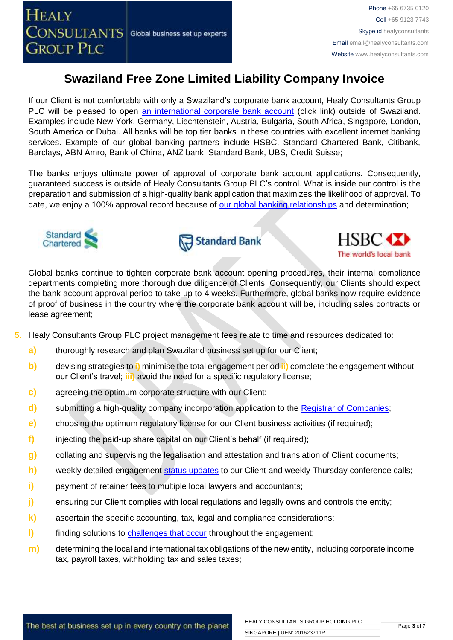If our Client is not comfortable with only a Swaziland's corporate bank account, Healy Consultants Group PLC will be pleased to open [an international corporate bank account](http://www.healyconsultants.com/international-banking/) (click link) outside of Swaziland. Examples include New York, Germany, Liechtenstein, Austria, Bulgaria, South Africa, Singapore, London, South America or Dubai. All banks will be top tier banks in these countries with excellent internet banking services. Example of our global banking partners include HSBC, Standard Chartered Bank, Citibank, Barclays, ABN Amro, Bank of China, ANZ bank, Standard Bank, UBS, Credit Suisse;

The banks enjoys ultimate power of approval of corporate bank account applications. Consequently, guaranteed success is outside of Healy Consultants Group PLC's control. What is inside our control is the preparation and submission of a high-quality bank application that maximizes the likelihood of approval. To date, we enjoy a 100% approval record because of [our global banking relationships](http://www.healyconsultants.com/international-banking/corporate-accounts/) and determination;







Global banks continue to tighten corporate bank account opening procedures, their internal compliance departments completing more thorough due diligence of Clients. Consequently, our Clients should expect the bank account approval period to take up to 4 weeks. Furthermore, global banks now require evidence of proof of business in the country where the corporate bank account will be, including sales contracts or lease agreement;

- **5.** Healy Consultants Group PLC project management fees relate to time and resources dedicated to:
	- **a)** thoroughly research and plan Swaziland business set up for our Client;
	- **b)** devising strategies to **i)** minimise the total engagement period **ii)** complete the engagement without our Client's travel; **iii)** avoid the need for a specific regulatory license;
	- **c)** agreeing the optimum corporate structure with our Client;
	- **d)** submitting a high-quality company incorporation application to the [Registrar of Companies](http://www.gov.sz/index.php?option=com_content&id=522&Itemid=254)[;](http://www.dubaided.gov.ae/en/Pages/default.aspx)
	- **e)** choosing the optimum regulatory license for our Client business activities (if required);
	- **f)** injecting the paid-up share capital on our Client's behalf (if required);
	- **g)** collating and supervising the legalisation and attestation and translation of Client documents;
	- **h)** weekly detailed engagement [status updates](http://www.healyconsultants.com/index-important-links/weekly-engagement-status-email/) to our Client and weekly Thursday conference calls;
	- **i)** payment of retainer fees to multiple local lawyers and accountants;
	- **j)** ensuring our Client complies with local regulations and legally owns and controls the entity;
	- **k)** ascertain the specific accounting, tax, legal and compliance considerations;
	- **l)** finding solutions to [challenges that occur](http://www.healyconsultants.com/engagement-project-management/) throughout the engagement;
	- **m)** determining the local and international tax obligations of the new entity, including corporate income tax, payroll taxes, withholding tax and sales taxes;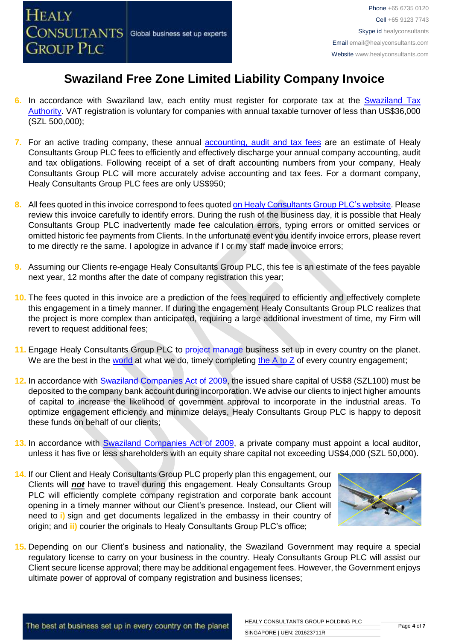

- **6.** In accordance with Swaziland law, each entity must register for corporate tax at the [Swaziland Tax](http://www.sra.org.sz/index.php?option=com_content&view=article&id=88&Itemid=216)  [Authority.](http://www.sra.org.sz/index.php?option=com_content&view=article&id=88&Itemid=216) VAT registration is voluntary for companies with annual taxable turnover of less than US\$36,000 (SZL 500,000);
- **7.** For an active trading company, these annual [accounting, audit and tax](http://www.healyconsultants.com/uae-company-registration/accounting-legal/) fees are an estimate of Healy Consultants Group PLC fees to efficiently and effectively discharge your annual company accounting, audit and tax obligations. Following receipt of a set of draft accounting numbers from your company, Healy Consultants Group PLC will more accurately advise accounting and tax fees. For a dormant company, Healy Consultants Group PLC fees are only US\$950;
- **8.** All fees quoted in this invoice correspond to fees quoted [on Healy Consultants Group PLC's](http://www.healyconsultants.com/company-registration-fees/) website. Please review this invoice carefully to identify errors. During the rush of the business day, it is possible that Healy Consultants Group PLC inadvertently made fee calculation errors, typing errors or omitted services or omitted historic fee payments from Clients. In the unfortunate event you identify invoice errors, please revert to me directly re the same. I apologize in advance if I or my staff made invoice errors;
- **9.** Assuming our Clients re-engage Healy Consultants Group PLC, this fee is an estimate of the fees payable next year, 12 months after the date of company registration this year;
- **10.** The fees quoted in this invoice are a prediction of the fees required to efficiently and effectively complete this engagement in a timely manner. If during the engagement Healy Consultants Group PLC realizes that the project is more complex than anticipated, requiring a large additional investment of time, my Firm will revert to request additional fees;
- **11.** Engage Healy Consultants Group PLC to [project manage](http://www.healyconsultants.com/project-manage-engagements/) business set up in every country on the planet. We are the best in the [world](http://www.healyconsultants.com/best-in-the-world/) at what we do, timely completing the  $A$  to  $Z$  of every country engagement;
- **12.** In accordance with [Swaziland Companies Act](http://www.gov.sz/index.php?option=com_content&id=377&Itemid=141) of 2009, the issued share capital of US\$8 (SZL100) must be deposited to the company bank account during incorporation. We advise our clients to inject higher amounts of capital to increase the likelihood of government approval to incorporate in the industrial areas. To optimize engagement efficiency and minimize delays, Healy Consultants Group PLC is happy to deposit these funds on behalf of our clients;
- **13.** In accordance with [Swaziland Companies Act](http://www.gov.sz/index.php?option=com_content&id=377&Itemid=141) of 2009, a private company must appoint a local auditor, unless it has five or less shareholders with an equity share capital not exceeding US\$4,000 (SZL 50,000).
- **14.** If our Client and Healy Consultants Group PLC properly plan this engagement, our Clients will *not* have to travel during this engagement. Healy Consultants Group PLC will efficiently complete company registration and corporate bank account opening in a timely manner without our Client's presence. Instead, our Client will need to **i)** sign and get documents legalized in the embassy in their country of origin; and **ii)** courier the originals to Healy Consultants Group PLC's office;



**15.** Depending on our Client's business and nationality, the Swaziland Government may require a special regulatory license to carry on your business in the country. Healy Consultants Group PLC will assist our Client secure license approval; there may be additional engagement fees. However, the Government enjoys ultimate power of approval of company registration and business licenses;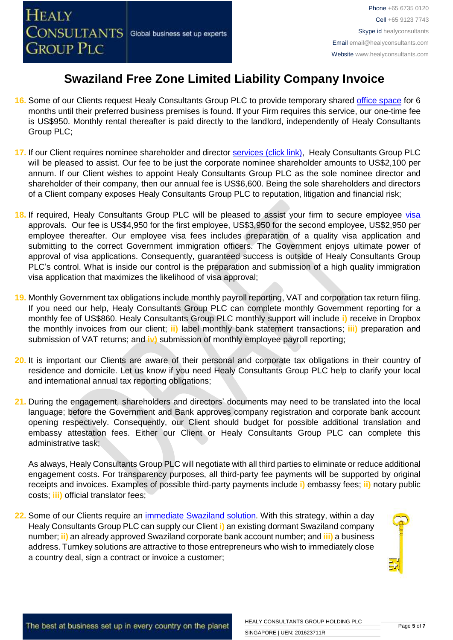- **16.** Some of our Clients request Healy Consultants Group PLC to provide temporary shared [office space](http://www.healyconsultants.com/virtual-office/) for 6 months until their preferred business premises is found. If your Firm requires this service, our one-time fee is US\$950. Monthly rental thereafter is paid directly to the landlord, independently of Healy Consultants Group PLC;
- **17.** If our Client requires nominee shareholder and director services [\(click link\),](http://www.healyconsultants.com/corporate-outsourcing-services/nominee-shareholders-directors/) Healy Consultants Group PLC will be pleased to assist. Our fee to be just the corporate nominee shareholder amounts to US\$2,100 per annum. If our Client wishes to appoint Healy Consultants Group PLC as the sole nominee director and shareholder of their company, then our annual fee is US\$6,600. Being the sole shareholders and directors of a Client company exposes Healy Consultants Group PLC to reputation, litigation and financial risk;
- 18. If required, Healy Consultants Group PLC will be pleased to assist your firm to secure employee [visa](http://www.healyconsultants.com/migration/) approvals. Our fee is US\$4,950 for the first employee, US\$3,950 for the second employee, US\$2,950 per employee thereafter. Our employee visa fees includes preparation of a quality visa application and submitting to the correct Government immigration officers. The Government enjoys ultimate power of approval of visa applications. Consequently, guaranteed success is outside of Healy Consultants Group PLC's control. What is inside our control is the preparation and submission of a high quality immigration visa application that maximizes the likelihood of visa approval;
- **19.** Monthly Government tax obligations include monthly payroll reporting, VAT and corporation tax return filing. If you need our help, Healy Consultants Group PLC can complete monthly Government reporting for a monthly fee of US\$860. Healy Consultants Group PLC monthly support will include **i)** receive in Dropbox the monthly invoices from our client; **ii)** label monthly bank statement transactions; **iii)** preparation and submission of VAT returns; and **iv)** submission of monthly employee payroll reporting;
- **20.** It is important our Clients are aware of their personal and corporate tax obligations in their country of residence and domicile. Let us know if you need Healy Consultants Group PLC help to clarify your local and international annual tax reporting obligations;
- **21.** During the engagement, shareholders and directors' documents may need to be translated into the local language; before the Government and Bank approves company registration and corporate bank account opening respectively. Consequently, our Client should budget for possible additional translation and embassy attestation fees. Either our Client or Healy Consultants Group PLC can complete this administrative task;

As always, Healy Consultants Group PLC will negotiate with all third parties to eliminate or reduce additional engagement costs. For transparency purposes, all third-party fee payments will be supported by original receipts and invoices. Examples of possible third-party payments include **i)** embassy fees; **ii)** notary public costs; **iii)** official translator fees;

**22.** Some of our Clients require an [immediate Swaziland](http://www.healyconsultants.com/turnkey-solutions/) solution. With this strategy, within a day Healy Consultants Group PLC can supply our Client **i)** an existing dormant Swaziland company number; **ii)** an already approved Swaziland corporate bank account number; and **iii)** a business address. Turnkey solutions are attractive to those entrepreneurs who wish to immediately close a country deal, sign a contract or invoice a customer;

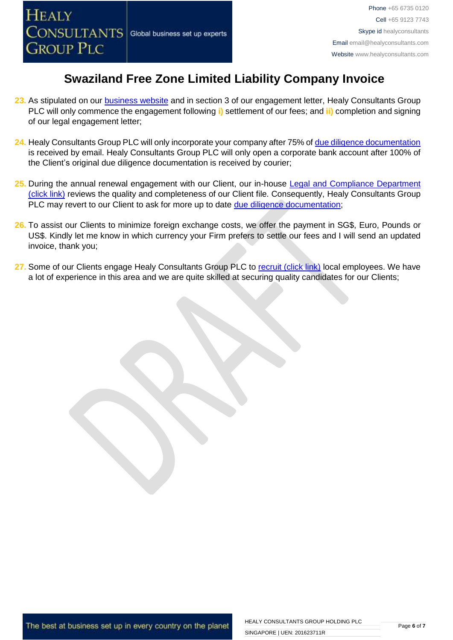

- **23.** As stipulated on our [business website](http://www.healyconsultants.com/) and in section 3 of our engagement letter, Healy Consultants Group PLC will only commence the engagement following **i)** settlement of our fees; and **ii)** completion and signing of our legal engagement letter;
- **24.** Healy Consultants Group PLC will only incorporate your company after 75% of [due diligence documentation](http://www.healyconsultants.com/due-diligence/) is received by email. Healy Consultants Group PLC will only open a corporate bank account after 100% of the Client's original due diligence documentation is received by courier;
- 25. During the annual renewal engagement with our Client, our in-house Legal and Compliance Department [\(click link\)](http://www.healyconsultants.com/about-us/key-personnel/cai-xin-profile/) reviews the quality and completeness of our Client file. Consequently, Healy Consultants Group PLC may revert to our Client to ask for more up to date [due diligence documentation;](http://www.healyconsultants.com/due-diligence/)
- **26.** To assist our Clients to minimize foreign exchange costs, we offer the payment in SG\$, Euro, Pounds or US\$. Kindly let me know in which currency your Firm prefers to settle our fees and I will send an updated invoice, thank you;
- 27. Some of our Clients engage Healy Consultants Group PLC to [recruit \(click link\)](http://www.healyconsultants.com/corporate-outsourcing-services/how-we-help-our-clients-recruit-quality-employees/) local employees. We have a lot of experience in this area and we are quite skilled at securing quality candidates for our Clients;